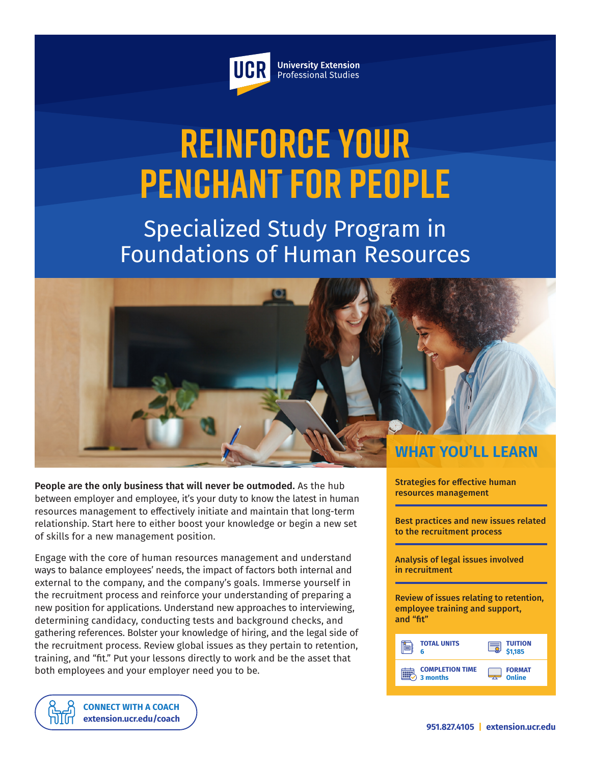

**University Extension** Professional Studies

# **Reinforce Your Penchant for People**

Specialized Study Program in Foundations of Human Resources



**People are the only business that will never be outmoded.** As the hub between employer and employee, it's your duty to know the latest in human resources management to effectively initiate and maintain that long-term relationship. Start here to either boost your knowledge or begin a new set of skills for a new management position.

Engage with the core of human resources management and understand ways to balance employees' needs, the impact of factors both internal and external to the company, and the company's goals. Immerse yourself in the recruitment process and reinforce your understanding of preparing a new position for applications. Understand new approaches to interviewing, determining candidacy, conducting tests and background checks, and gathering references. Bolster your knowledge of hiring, and the legal side of the recruitment process. Review global issues as they pertain to retention, training, and "fit." Put your lessons directly to work and be the asset that both employees and your employer need you to be.



Strategies for effective human resources management

Best practices and new issues related to the recruitment process

Analysis of legal issues involved in recruitment

Review of issues relating to retention, employee training and support, and "fit"

| <b>TOTAL UNITS</b>                 | <b>TUITION</b>                                      |
|------------------------------------|-----------------------------------------------------|
| ħ                                  | \$1.185                                             |
| <b>COMPLETION TIME</b><br>3 months | <b>FORMAT</b><br>Online<br>$\overline{\phantom{a}}$ |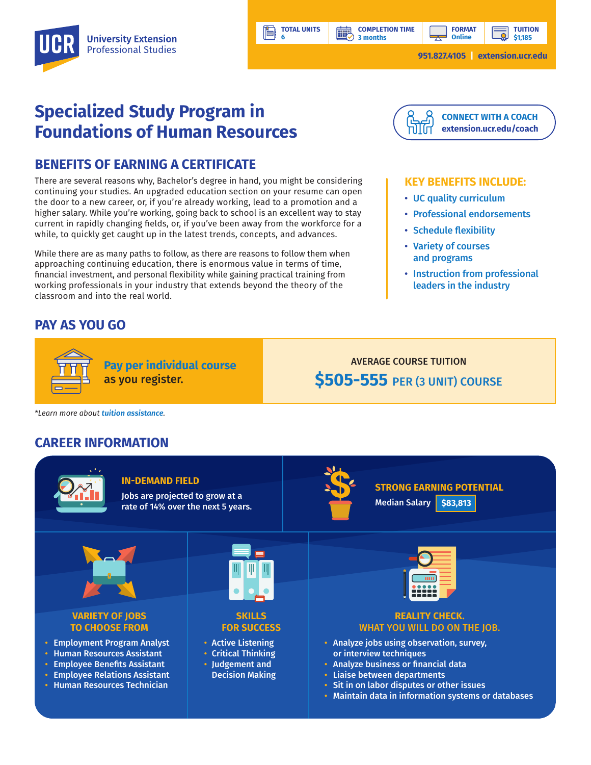**[CONNECT WITH A COACH](https://extension.ucr.edu/studentresources/studentsuccesscoaches/studentsuccesscoaches) [extension.ucr.edu/coach](http://extension.ucr.edu/coach)**

**TUITION**

**KEY BENEFITS INCLUDE:**

• Professional endorsements

• Instruction from professional leaders in the industry

• UC quality curriculum

• Schedule flexibility • Variety of courses and programs

# **Specialized Study Program in Foundations of Human Resources**

## **BENEFITS OF EARNING A CERTIFICATE**

There are several reasons why, Bachelor's degree in hand, you might be considering continuing your studies. An upgraded education section on your resume can open the door to a new career, or, if you're already working, lead to a promotion and a higher salary. While you're working, going back to school is an excellent way to stay current in rapidly changing fields, or, if you've been away from the workforce for a while, to quickly get caught up in the latest trends, concepts, and advances.

While there are as many paths to follow, as there are reasons to follow them when approaching continuing education, there is enormous value in terms of time, financial investment, and personal flexibility while gaining practical training from working professionals in your industry that extends beyond the theory of the classroom and into the real world.

### **PAY AS YOU GO**



**Pay per individual course** as you register.

AVERAGE COURSE TUITION **\$505-555** PER (3 UNIT) COURSE

*\*Learn more about [tuition assistance](https://extension.ucr.edu/helpcenterstudentresources/financialandtuitionassistance).*

#### **CAREER INFORMATION**



**TOTAL UNITS**

**BBP** 

**6**